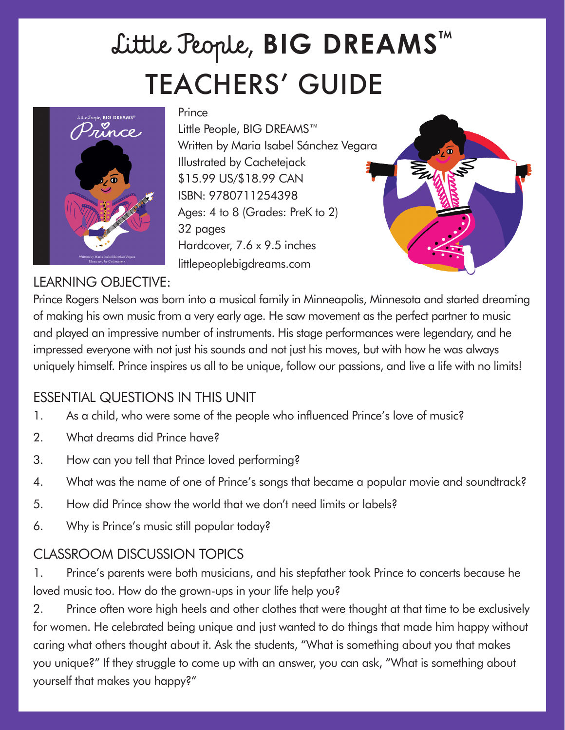# TEACHERS' GUIDE Little People, **BIG DREAMS**™



#### **Prince**

Little People, BIG DREAMS™ Written by Maria Isabel Sánchez Vegara Illustrated by Cachetejack \$15.99 US/\$18.99 CAN ISBN: 9780711254398 Ages: 4 to 8 (Grades: PreK to 2) 32 pages Hardcover, 7.6 x 9.5 inches littlepeoplebigdreams.com



#### LEARNING OBJECTIVE:

Prince Rogers Nelson was born into a musical family in Minneapolis, Minnesota and started dreaming of making his own music from a very early age. He saw movement as the perfect partner to music and played an impressive number of instruments. His stage performances were legendary, and he impressed everyone with not just his sounds and not just his moves, but with how he was always uniquely himself. Prince inspires us all to be unique, follow our passions, and live a life with no limits!

### ESSENTIAL QUESTIONS IN THIS UNIT

- 1. As a child, who were some of the people who influenced Prince's love of music?
- 2. What dreams did Prince have?
- 3. How can you tell that Prince loved performing?
- 4. What was the name of one of Prince's songs that became a popular movie and soundtrack?
- 5. How did Prince show the world that we don't need limits or labels?
- 6. Why is Prince's music still popular today?

## CLASSROOM DISCUSSION TOPICS

1. Prince's parents were both musicians, and his stepfather took Prince to concerts because he loved music too. How do the grown-ups in your life help you?

2. Prince often wore high heels and other clothes that were thought at that time to be exclusively for women. He celebrated being unique and just wanted to do things that made him happy without caring what others thought about it. Ask the students, "What is something about you that makes you unique?" If they struggle to come up with an answer, you can ask, "What is something about yourself that makes you happy?"